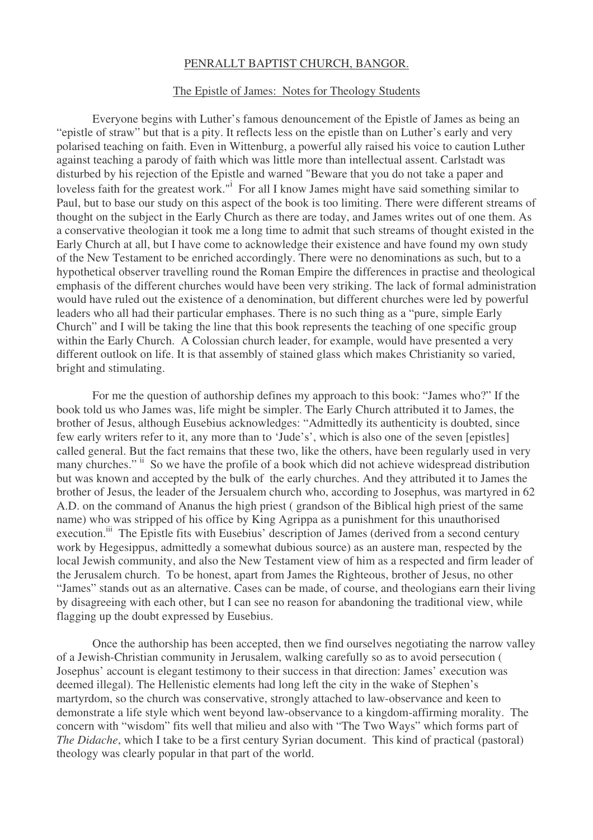## PENRALLT BAPTIST CHURCH, BANGOR.

## The Epistle of James: Notes for Theology Students

Everyone begins with Luther's famous denouncement of the Epistle of James as being an "epistle of straw" but that is a pity. It reflects less on the epistle than on Luther's early and very polarised teaching on faith. Even in Wittenburg, a powerful ally raised his voice to caution Luther against teaching a parody of faith which was little more than intellectual assent. Carlstadt was disturbed by his rejection of the Epistle and warned "Beware that you do not take a paper and loveless faith for the greatest work."<sup>I</sup> For all I know James might have said something similar to Paul, but to base our study on this aspect of the book is too limiting. There were different streams of thought on the subject in the Early Church as there are today, and James writes out of one them. As a conservative theologian it took me a long time to admit that such streams of thought existed in the Early Church at all, but I have come to acknowledge their existence and have found my own study of the New Testament to be enriched accordingly. There were no denominations as such, but to a hypothetical observer travelling round the Roman Empire the differences in practise and theological emphasis of the different churches would have been very striking. The lack of formal administration would have ruled out the existence of a denomination, but different churches were led by powerful leaders who all had their particular emphases. There is no such thing as a "pure, simple Early Church" and I will be taking the line that this book represents the teaching of one specific group within the Early Church. A Colossian church leader, for example, would have presented a very different outlook on life. It is that assembly of stained glass which makes Christianity so varied, bright and stimulating.

For me the question of authorship defines my approach to this book: "James who?" If the book told us who James was, life might be simpler. The Early Church attributed it to James, the brother of Jesus, although Eusebius acknowledges: "Admittedly its authenticity is doubted, since few early writers refer to it, any more than to 'Jude's', which is also one of the seven [epistles] called general. But the fact remains that these two, like the others, have been regularly used in very many churches." ii So we have the profile of a book which did not achieve widespread distribution but was known and accepted by the bulk of the early churches. And they attributed it to James the brother of Jesus, the leader of the Jersualem church who, according to Josephus, was martyred in 62 A.D. on the command of Ananus the high priest ( grandson of the Biblical high priest of the same name) who was stripped of his office by King Agrippa as a punishment for this unauthorised execution.<sup>iii</sup> The Epistle fits with Eusebius' description of James (derived from a second century work by Hegesippus, admittedly a somewhat dubious source) as an austere man, respected by the local Jewish community, and also the New Testament view of him as a respected and firm leader of the Jerusalem church. To be honest, apart from James the Righteous, brother of Jesus, no other "James" stands out as an alternative. Cases can be made, of course, and theologians earn their living by disagreeing with each other, but I can see no reason for abandoning the traditional view, while flagging up the doubt expressed by Eusebius.

Once the authorship has been accepted, then we find ourselves negotiating the narrow valley of a Jewish-Christian community in Jerusalem, walking carefully so as to avoid persecution ( Josephus' account is elegant testimony to their success in that direction: James' execution was deemed illegal). The Hellenistic elements had long left the city in the wake of Stephen's martyrdom, so the church was conservative, strongly attached to law-observance and keen to demonstrate a life style which went beyond law-observance to a kingdom-affirming morality. The concern with "wisdom" fits well that milieu and also with "The Two Ways" which forms part of *The Didache*, which I take to be a first century Syrian document. This kind of practical (pastoral) theology was clearly popular in that part of the world.